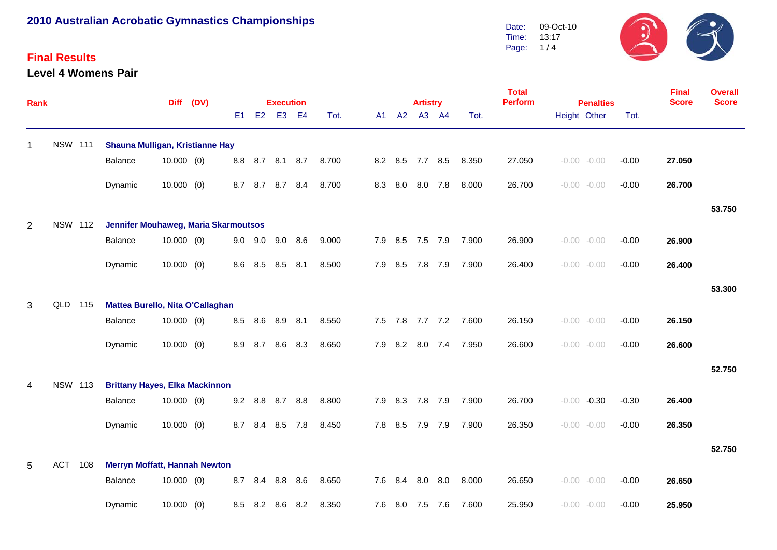### **Final Results**

**Level 4 Womens Pair**



| <b>Rank</b> |                |                | <b>Diff</b>                                 |              | (DV) |     | <b>Execution</b> |                 |                |       |     |    |         | <b>Artistry</b> |                 |       | <b>Total</b><br><b>Perform</b> | <b>Penalties</b> |                |         | <b>Final</b><br><b>Score</b> | <b>Overall</b><br><b>Score</b> |
|-------------|----------------|----------------|---------------------------------------------|--------------|------|-----|------------------|-----------------|----------------|-------|-----|----|---------|-----------------|-----------------|-------|--------------------------------|------------------|----------------|---------|------------------------------|--------------------------------|
|             |                |                |                                             |              |      | E1  | E2               | E <sub>3</sub>  | E <sub>4</sub> | Tot.  |     | A1 | A2      |                 | A3 A4           | Tot.  |                                | Height Other     |                | Tot.    |                              |                                |
| $\mathbf 1$ | <b>NSW 111</b> |                | Shauna Mulligan, Kristianne Hay             |              |      |     |                  |                 |                |       |     |    |         |                 |                 |       |                                |                  |                |         |                              |                                |
|             |                |                | <b>Balance</b>                              | $10.000$ (0) |      |     |                  | 8.8 8.7 8.1 8.7 |                | 8.700 |     |    |         | 8.2 8.5 7.7 8.5 |                 | 8.350 | 27.050                         |                  | $-0.00 - 0.00$ | $-0.00$ | 27.050                       |                                |
|             |                |                | Dynamic                                     | $10.000$ (0) |      | 8.7 |                  | 8.7 8.7 8.4     |                | 8.700 |     |    | 8.3 8.0 |                 | 8.0 7.8         | 8.000 | 26.700                         |                  | $-0.00 - 0.00$ | $-0.00$ | 26.700                       |                                |
|             |                |                |                                             |              |      |     |                  |                 |                |       |     |    |         |                 |                 |       |                                |                  |                |         |                              | 53.750                         |
| 2           |                | <b>NSW 112</b> | <b>Jennifer Mouhaweg, Maria Skarmoutsos</b> |              |      |     |                  |                 |                |       |     |    |         |                 |                 |       |                                |                  |                |         |                              |                                |
|             |                |                | Balance                                     | $10.000$ (0) |      |     | $9.0\quad 9.0$   | 9.0             | 8.6            | 9.000 |     |    |         | 7.9 8.5 7.5 7.9 |                 | 7.900 | 26.900                         |                  | $-0.00 - 0.00$ | $-0.00$ | 26.900                       |                                |
|             |                |                | Dynamic                                     | $10.000$ (0) |      | 8.6 | 8.5              | 8.5             | 8.1            | 8.500 |     |    | 7.9 8.5 | 7.8 7.9         |                 | 7.900 | 26.400                         |                  | $-0.00 - 0.00$ | $-0.00$ | 26.400                       |                                |
|             |                |                |                                             |              |      |     |                  |                 |                |       |     |    |         |                 |                 |       |                                |                  |                |         |                              | 53.300                         |
| 3           | QLD            | 115            | Mattea Burello, Nita O'Callaghan            |              |      |     |                  |                 |                |       |     |    |         |                 |                 |       |                                |                  |                |         |                              |                                |
|             |                |                | Balance                                     | $10.000$ (0) |      | 8.5 | 8.6              | 8.9             | 8.1            | 8.550 |     |    |         |                 | 7.5 7.8 7.7 7.2 | 7.600 | 26.150                         |                  | $-0.00 - 0.00$ | $-0.00$ | 26.150                       |                                |
|             |                |                | Dynamic                                     | $10.000$ (0) |      | 8.9 | 8.7              | 8.6             | 8.3            | 8.650 | 7.9 |    | 8.2     |                 | 8.0 7.4         | 7.950 | 26.600                         |                  | $-0.00 - 0.00$ | $-0.00$ | 26.600                       |                                |
|             |                |                |                                             |              |      |     |                  |                 |                |       |     |    |         |                 |                 |       |                                |                  |                |         |                              | 52.750                         |
| 4           | <b>NSW 113</b> |                | <b>Brittany Hayes, Elka Mackinnon</b>       |              |      |     |                  |                 |                |       |     |    |         |                 |                 |       |                                |                  |                |         |                              |                                |
|             |                |                | Balance                                     | $10.000$ (0) |      | 9.2 |                  | 8.8 8.7 8.8     |                | 8.800 |     |    |         | 7.9 8.3 7.8 7.9 |                 | 7.900 | 26.700                         |                  | $-0.00 -0.30$  | $-0.30$ | 26.400                       |                                |
|             |                |                | Dynamic                                     | $10.000$ (0) |      | 8.7 | 8.4              | 8.5             | 7.8            | 8.450 |     |    | 7.8 8.5 | 7.9             | 7.9             | 7.900 | 26.350                         |                  | $-0.00 - 0.00$ | $-0.00$ | 26.350                       |                                |
|             |                |                |                                             |              |      |     |                  |                 |                |       |     |    |         |                 |                 |       |                                |                  |                |         |                              | 52.750                         |
| 5           | <b>ACT</b>     | 108            | <b>Merryn Moffatt, Hannah Newton</b>        |              |      |     |                  |                 |                |       |     |    |         |                 |                 |       |                                |                  |                |         |                              |                                |
|             |                |                | Balance                                     | $10.000$ (0) |      | 8.7 | 8.4              | 8.8             | 8.6            | 8.650 |     |    | 7.6 8.4 | 8.0             | 8.0             | 8.000 | 26.650                         |                  | $-0.00 - 0.00$ | $-0.00$ | 26.650                       |                                |
|             |                |                | Dynamic                                     | $10.000$ (0) |      | 8.5 | 8.2              | 8.6             | 8.2            | 8.350 |     |    | 7.6 8.0 | 7.5 7.6         |                 | 7.600 | 25.950                         |                  | $-0.00 - 0.00$ | $-0.00$ | 25.950                       |                                |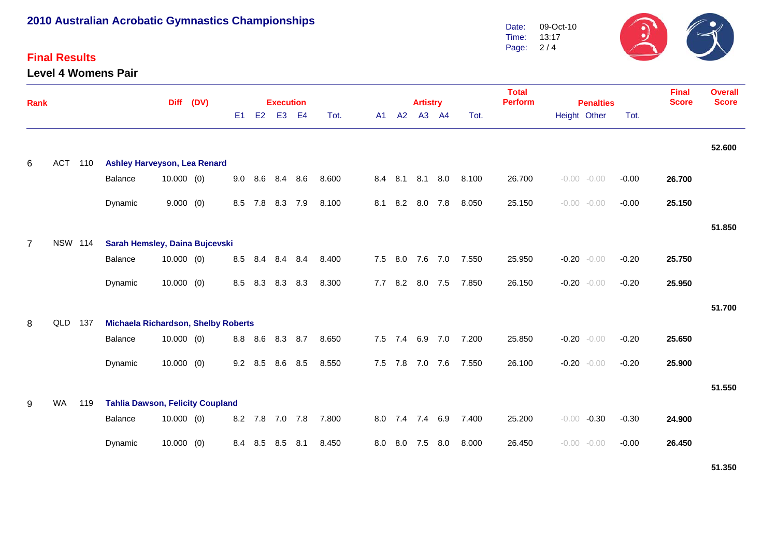### **Final Results**

**Level 4 Womens Pair**



| Rank           |                |     | <b>Diff</b>                                |              | (DV) |           |                | <b>Execution</b> |                |       |     |             | <b>Artistry</b> |     |       | <b>Total</b><br><b>Perform</b><br><b>Penalties</b> |              |                | <b>Final</b><br><b>Score</b> | <b>Overall</b><br><b>Score</b> |        |
|----------------|----------------|-----|--------------------------------------------|--------------|------|-----------|----------------|------------------|----------------|-------|-----|-------------|-----------------|-----|-------|----------------------------------------------------|--------------|----------------|------------------------------|--------------------------------|--------|
|                |                |     |                                            |              |      | E1        | E2             | E <sub>3</sub>   | E <sub>4</sub> | Tot.  | A1  | A2          | A3 A4           |     | Tot.  |                                                    | Height Other |                | Tot.                         |                                |        |
| 6              | ACT 110        |     | <b>Ashley Harveyson, Lea Renard</b>        |              |      |           |                |                  |                |       |     |             |                 |     |       |                                                    |              |                |                              |                                | 52.600 |
|                |                |     | Balance                                    | $10.000$ (0) |      |           | $9.0\quad 8.6$ | 8.4              | 8.6            | 8.600 |     |             | 8.4 8.1 8.1 8.0 |     | 8.100 | 26.700                                             |              | $-0.00 - 0.00$ | $-0.00$                      | 26.700                         |        |
|                |                |     | Dynamic                                    | 9.000(0)     |      |           | 8.5 7.8        | 8.3 7.9          |                | 8.100 | 8.1 |             | 8.2 8.0 7.8     |     | 8.050 | 25.150                                             |              | $-0.00 - 0.00$ | $-0.00$                      | 25.150                         |        |
|                |                |     |                                            |              |      |           |                |                  |                |       |     |             |                 |     |       |                                                    |              |                |                              |                                | 51.850 |
| $\overline{7}$ | <b>NSW 114</b> |     | Sarah Hemsley, Daina Bujcevski             |              |      |           |                |                  |                |       |     |             |                 |     |       |                                                    |              |                |                              |                                |        |
|                |                |     | Balance                                    | $10.000$ (0) |      |           |                | 8.5 8.4 8.4 8.4  |                | 8.400 |     |             | 7.5 8.0 7.6 7.0 |     | 7.550 | 25.950                                             |              | $-0.20 - 0.00$ | $-0.20$                      | 25.750                         |        |
|                |                |     | Dynamic                                    | $10.000$ (0) |      | 8.5       | 8.3            | 8.3 8.3          |                | 8.300 | 7.7 |             | 8.2 8.0 7.5     |     | 7.850 | 26.150                                             |              | $-0.20 - 0.00$ | $-0.20$                      | 25.950                         |        |
|                |                |     |                                            |              |      |           |                |                  |                |       |     |             |                 |     |       |                                                    |              |                |                              |                                | 51.700 |
| 8              | QLD            | 137 | <b>Michaela Richardson, Shelby Roberts</b> |              |      |           |                |                  |                |       |     |             |                 |     |       |                                                    |              |                |                              |                                |        |
|                |                |     | Balance                                    | $10.000$ (0) |      |           | 8.8 8.6        | 8.3 8.7          |                | 8.650 |     |             | 7.5 7.4 6.9 7.0 |     | 7.200 | 25.850                                             |              | $-0.20 - 0.00$ | $-0.20$                      | 25.650                         |        |
|                |                |     | Dynamic                                    | $10.000$ (0) |      | $9.2$ 8.5 |                | 8.6              | 8.5            | 8.550 |     | $7.5$ $7.8$ | 7.0 7.6         |     | 7.550 | 26.100                                             |              | $-0.20 - 0.00$ | $-0.20$                      | 25.900                         |        |
|                |                |     |                                            |              |      |           |                |                  |                |       |     |             |                 |     |       |                                                    |              |                |                              |                                | 51.550 |
| 9              | WA             | 119 | <b>Tahlia Dawson, Felicity Coupland</b>    |              |      |           |                |                  |                |       |     |             |                 |     |       |                                                    |              |                |                              |                                |        |
|                |                |     | Balance                                    | $10.000$ (0) |      |           |                | 8.2 7.8 7.0 7.8  |                | 7.800 | 8.0 |             | 7.4 7.4 6.9     |     | 7.400 | 25.200                                             | $-0.00$      | $-0.30$        | $-0.30$                      | 24.900                         |        |
|                |                |     | Dynamic                                    | $10.000$ (0) |      |           | 8.4 8.5        | 8.5 8.1          |                | 8.450 | 8.0 | 8.0         | 7.5             | 8.0 | 8.000 | 26.450                                             |              | $-0.00 - 0.00$ | $-0.00$                      | 26.450                         |        |

**51.350**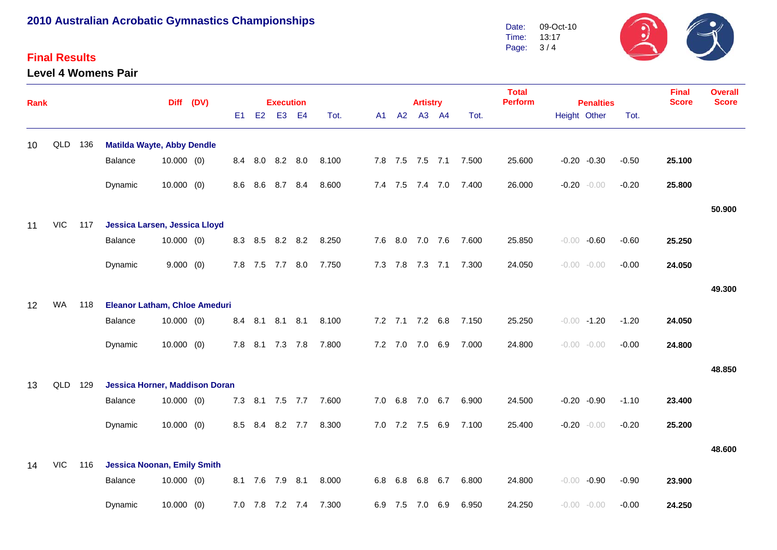#### **Final Results**

**Level 4 Womens Pair**



| <b>Rank</b> |            |     |                                       |              | Diff (DV) |     |     | <b>Execution</b> |         |       |    |                | <b>Artistry</b> |                 |       | <b>Total</b><br><b>Perform</b> | <b>Penalties</b>   |         | <b>Final</b><br><b>Score</b> | <b>Overall</b><br><b>Score</b> |
|-------------|------------|-----|---------------------------------------|--------------|-----------|-----|-----|------------------|---------|-------|----|----------------|-----------------|-----------------|-------|--------------------------------|--------------------|---------|------------------------------|--------------------------------|
|             |            |     |                                       |              |           | E1  | E2  | E <sub>3</sub>   | E4      | Tot.  | A1 | A2             |                 | A3 A4           | Tot.  |                                | Height Other       | Tot.    |                              |                                |
| 10          | QLD        | 136 | <b>Matilda Wayte, Abby Dendle</b>     |              |           |     |     |                  |         |       |    |                |                 |                 |       |                                |                    |         |                              |                                |
|             |            |     | Balance                               | $10.000$ (0) |           |     |     | 8.4 8.0 8.2 8.0  |         | 8.100 |    |                |                 | 7.8 7.5 7.5 7.1 | 7.500 | 25.600                         | $-0.20 -0.30$      | $-0.50$ | 25.100                       |                                |
|             |            |     | Dynamic                               | $10.000$ (0) |           | 8.6 | 8.6 | 8.7 8.4          |         | 8.600 |    |                |                 | 7.4 7.5 7.4 7.0 | 7.400 | 26.000                         | $-0.20$<br>$-0.00$ | $-0.20$ | 25.800                       |                                |
|             |            |     |                                       |              |           |     |     |                  |         |       |    |                |                 |                 |       |                                |                    |         |                              | 50.900                         |
| 11          | <b>VIC</b> | 117 | Jessica Larsen, Jessica Lloyd         |              |           |     |     |                  |         |       |    |                |                 |                 |       |                                |                    |         |                              |                                |
|             |            |     | Balance                               | $10.000$ (0) |           |     |     | 8.3 8.5 8.2 8.2  |         | 8.250 |    |                |                 | 7.6 8.0 7.0 7.6 | 7.600 | 25.850                         | $-0.60$<br>$-0.00$ | $-0.60$ | 25.250                       |                                |
|             |            |     | Dynamic                               | 9.000(0)     |           |     |     | 7.8 7.5 7.7 8.0  |         | 7.750 |    | 7.3 7.8        |                 | $7.3$ $7.1$     | 7.300 | 24.050                         | $-0.00 - 0.00$     | $-0.00$ | 24.050                       |                                |
|             |            |     |                                       |              |           |     |     |                  |         |       |    |                |                 |                 |       |                                |                    |         |                              | 49.300                         |
| 12          | WA         | 118 | <b>Eleanor Latham, Chloe Ameduri</b>  |              |           |     |     |                  |         |       |    |                |                 |                 |       |                                |                    |         |                              |                                |
|             |            |     | <b>Balance</b>                        | $10.000$ (0) |           | 8.4 | 8.1 | 8.1              | 8.1     | 8.100 |    |                |                 | 7.2 7.1 7.2 6.8 | 7.150 | 25.250                         | $-0.00 - 1.20$     | $-1.20$ | 24.050                       |                                |
|             |            |     | Dynamic                               | $10.000$ (0) |           | 7.8 |     | 8.1 7.3 7.8      |         | 7.800 |    | $7.2$ $7.0$    | 7.0             | 6.9             | 7.000 | 24.800                         | $-0.00 - 0.00$     | $-0.00$ | 24.800                       |                                |
|             |            |     |                                       |              |           |     |     |                  |         |       |    |                |                 |                 |       |                                |                    |         |                              | 48.850                         |
| 13          | QLD        | 129 | <b>Jessica Horner, Maddison Doran</b> |              |           |     |     |                  |         |       |    |                |                 |                 |       |                                |                    |         |                              |                                |
|             |            |     | Balance                               | $10.000$ (0) |           | 7.3 | 8.1 | 7.5 7.7          |         | 7.600 |    | $7.0\quad 6.8$ |                 | 7.0 6.7         | 6.900 | 24.500                         | $-0.20 -0.90$      | $-1.10$ | 23.400                       |                                |
|             |            |     | Dynamic                               | $10.000$ (0) |           | 8.5 | 8.4 |                  | 8.2 7.7 | 8.300 |    |                | 7.0 7.2 7.5     | 6.9             | 7.100 | 25.400                         | $-0.20$<br>$-0.00$ | $-0.20$ | 25.200                       |                                |
|             |            |     |                                       |              |           |     |     |                  |         |       |    |                |                 |                 |       |                                |                    |         |                              | 48.600                         |
| 14          | <b>VIC</b> | 116 | <b>Jessica Noonan, Emily Smith</b>    |              |           |     |     |                  |         |       |    |                |                 |                 |       |                                |                    |         |                              |                                |
|             |            |     | Balance                               | $10.000$ (0) |           |     |     | 8.1 7.6 7.9 8.1  |         | 8.000 |    | 6.8 6.8        | 6.8             | 6.7             | 6.800 | 24.800                         | $-0.90$<br>$-0.00$ | $-0.90$ | 23.900                       |                                |
|             |            |     | Dynamic                               | $10.000$ (0) |           |     |     | 7.0 7.8 7.2 7.4  |         | 7.300 |    | 6.9 7.5        | 7.0             | 6.9             | 6.950 | 24.250                         | $-0.00 - 0.00$     | $-0.00$ | 24.250                       |                                |